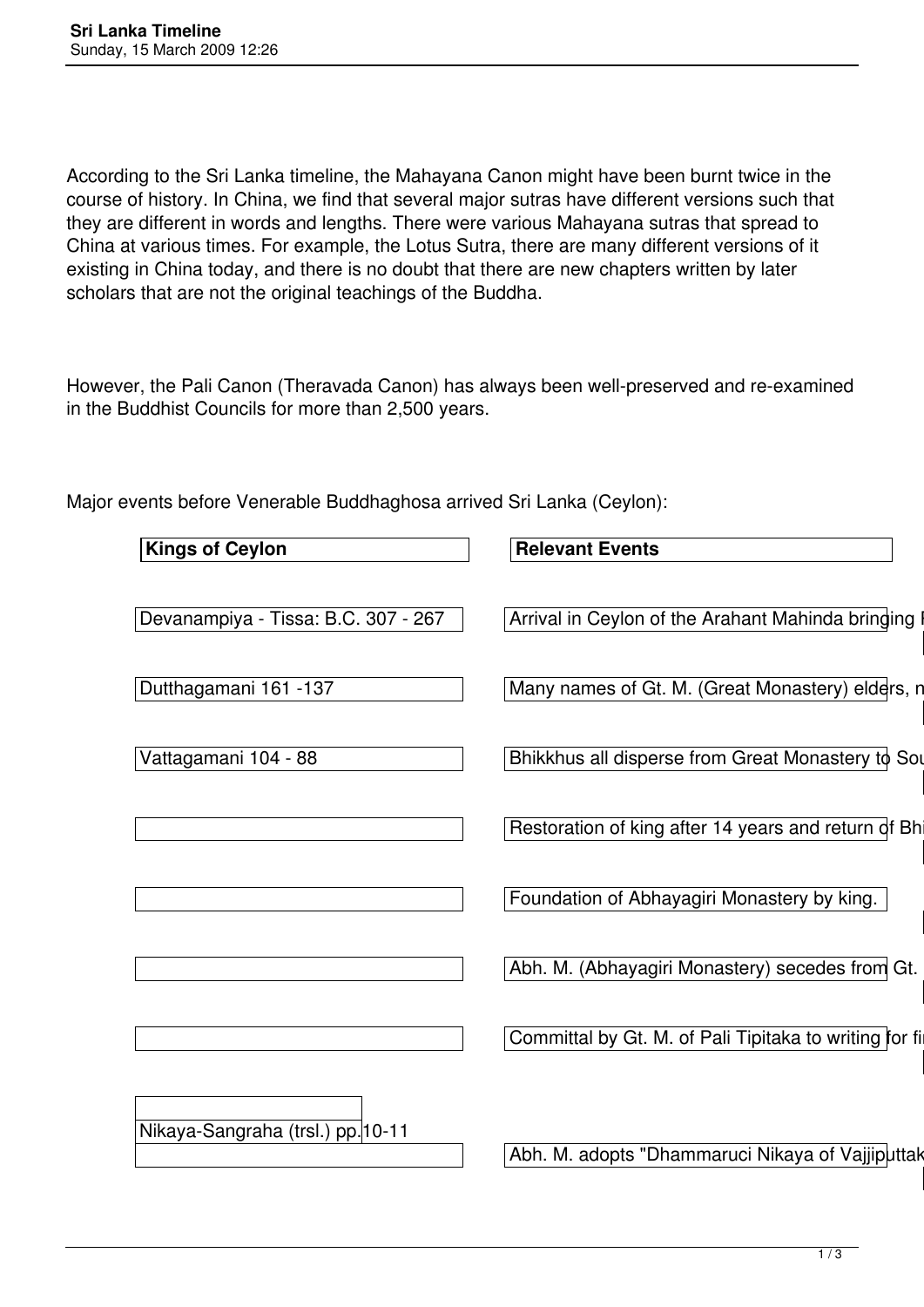According to the Sri Lanka timeline, the Mahayana Canon might have been burnt twice in the course of history. In China, we find that several major sutras have different versions such that they are different in words and lengths. There were various Mahayana sutras that spread to China at various times. For example, the Lotus Sutra, there are many different versions of it existing in China today, and there is no doubt that there are new chapters written by later scholars that are not the original teachings of the Buddha.

However, the Pali Canon (Theravada Canon) has always been well-preserved and re-examined in the Buddhist Councils for more than 2,500 years.

Major events before Venerable Buddhaghosa arrived Sri Lanka (Ceylon):

| <b>Kings of Ceylon</b>              | <b>Relevant Events</b>                                  |  |
|-------------------------------------|---------------------------------------------------------|--|
| Devanampiya - Tissa: B.C. 307 - 267 | Arrival in Ceylon of the Arahant Mahinda bringing       |  |
| Dutthagamani 161 -137               | Many names of Gt. M. (Great Monastery) elders, n        |  |
| Vattagamani 104 - 88                | Bhikkhus all disperse from Great Monastery to Sou       |  |
|                                     | Restoration of king after 14 years and return of Bhi    |  |
|                                     | Foundation of Abhayagiri Monastery by king.             |  |
|                                     | Abh. M. (Abhayagiri Monastery) secedes from Gt.         |  |
|                                     | Committal by Gt. M. of Pali Tipitaka to writing for fil |  |
| Nikaya-Sangraha (trsl.) pp. 10-11   |                                                         |  |
|                                     | Abh. M. adopts "Dhammaruci Nikaya of Vajjiputtak        |  |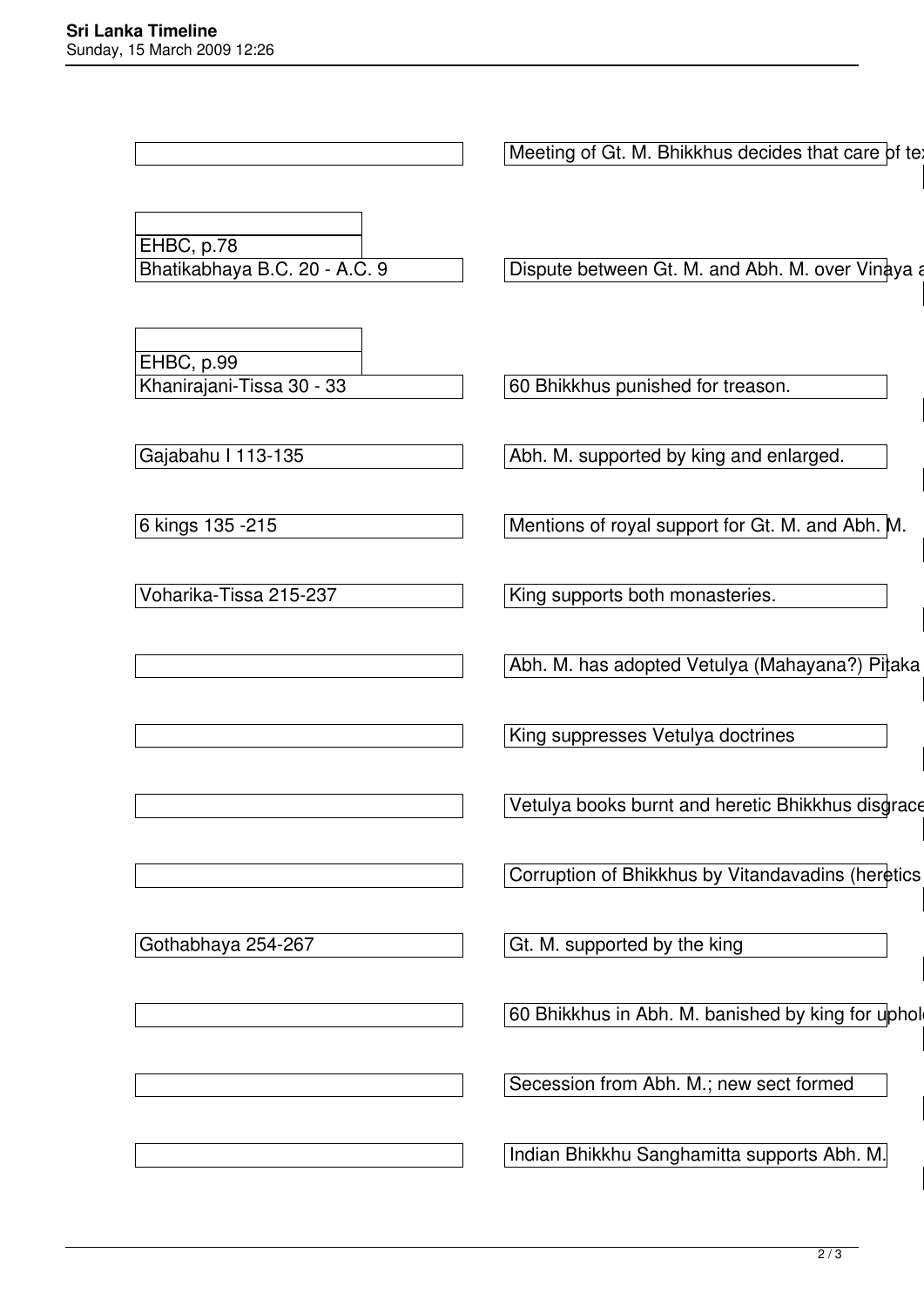Meeting of Gt. M. Bhikkhus decides that care of te AA.i, 92f EHBC, p.78<br>Bhatikabhaya B.C. 20 - A.C. 9 Bispute between Gt. M. and Abh. M. over Vinaya and Abh. M. over Vinaya Vin.A. 582; EHBC, p.99<br>Khanirajani-Tissa 30 - 33 60 Bhikkhus punished for treason. Mv. 35,10 Gajabahu I 113-135 Abh. M. supported by king and enlarged.  $M_{\rm H}$  ,  $M_{\rm H}$  ,  $M_{\rm H}$  ,  $M_{\rm H}$  ,  $M_{\rm H}$  ,  $M_{\rm H}$  ,  $M_{\rm H}$  ,  $M_{\rm H}$  ,  $M_{\rm H}$  ,  $M_{\rm H}$  ,  $M_{\rm H}$  6 kings 135 -215 Mentions of royal support for Gt. M. and Abh. M.  $M_{\rm H}$  ,  $M_{\rm H}$  ,  $M_{\rm H}$  ,  $M_{\rm H}$  ,  $M_{\rm H}$  ,  $M_{\rm H}$  ,  $M_{\rm H}$  ,  $M_{\rm H}$  ,  $M_{\rm H}$  ,  $M_{\rm H}$  ,  $M_{\rm H}$ Voharika-Tissa 215-237 King supports both monasteries. Abh. M. has adopted Vetulya (Mahayana?) Pitaka Ns. p.12 King suppresses Vetulya doctrines Mv.36, 41 Vetulya books burnt and heretic Bhikkhus disgrace Ns. p.12 Corruption of Bhikkhus by Vitandavadins (heretics Dipavamsa Ch. 22, 23 Gothabhaya 254-267 Gothabhaya 254-267 Mv.36, 102 60 Bhikkhus in Abh. M. banished by king for uphol Mv.36, 111 Secession from Abh. M.; new sect formed Ns. p.13 Indian Bhikkhu Sanghamitta supports Abh. M.

Mv.36, 112